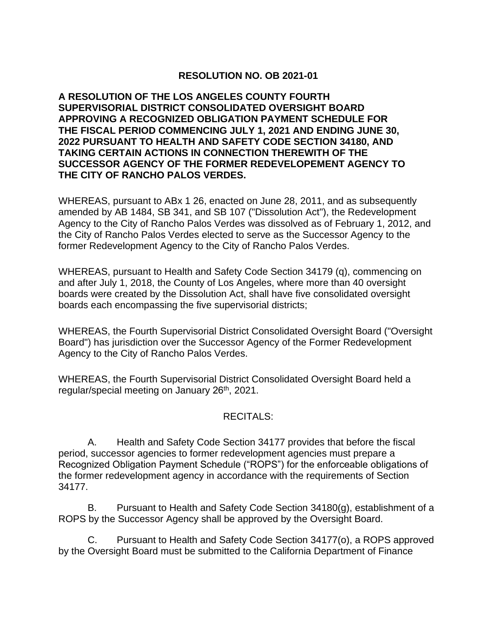## **RESOLUTION NO. OB 2021-01**

**A RESOLUTION OF THE LOS ANGELES COUNTY FOURTH SUPERVISORIAL DISTRICT CONSOLIDATED OVERSIGHT BOARD APPROVING A RECOGNIZED OBLIGATION PAYMENT SCHEDULE FOR THE FISCAL PERIOD COMMENCING JULY 1, 2021 AND ENDING JUNE 30, 2022 PURSUANT TO HEALTH AND SAFETY CODE SECTION 34180, AND TAKING CERTAIN ACTIONS IN CONNECTION THEREWITH OF THE SUCCESSOR AGENCY OF THE FORMER REDEVELOPEMENT AGENCY TO THE CITY OF RANCHO PALOS VERDES.** 

WHEREAS, pursuant to ABx 1 26, enacted on June 28, 2011, and as subsequently amended by AB 1484, SB 341, and SB 107 ("Dissolution Act"), the Redevelopment Agency to the City of Rancho Palos Verdes was dissolved as of February 1, 2012, and the City of Rancho Palos Verdes elected to serve as the Successor Agency to the former Redevelopment Agency to the City of Rancho Palos Verdes.

WHEREAS, pursuant to Health and Safety Code Section 34179 (q), commencing on and after July 1, 2018, the County of Los Angeles, where more than 40 oversight boards were created by the Dissolution Act, shall have five consolidated oversight boards each encompassing the five supervisorial districts;

WHEREAS, the Fourth Supervisorial District Consolidated Oversight Board ("Oversight Board") has jurisdiction over the Successor Agency of the Former Redevelopment Agency to the City of Rancho Palos Verdes.

WHEREAS, the Fourth Supervisorial District Consolidated Oversight Board held a regular/special meeting on January 26<sup>th</sup>, 2021.

#### RECITALS:

A. Health and Safety Code Section 34177 provides that before the fiscal period, successor agencies to former redevelopment agencies must prepare a Recognized Obligation Payment Schedule ("ROPS") for the enforceable obligations of the former redevelopment agency in accordance with the requirements of Section 34177.

B. Pursuant to Health and Safety Code Section 34180(g), establishment of a ROPS by the Successor Agency shall be approved by the Oversight Board.

C. Pursuant to Health and Safety Code Section 34177(o), a ROPS approved by the Oversight Board must be submitted to the California Department of Finance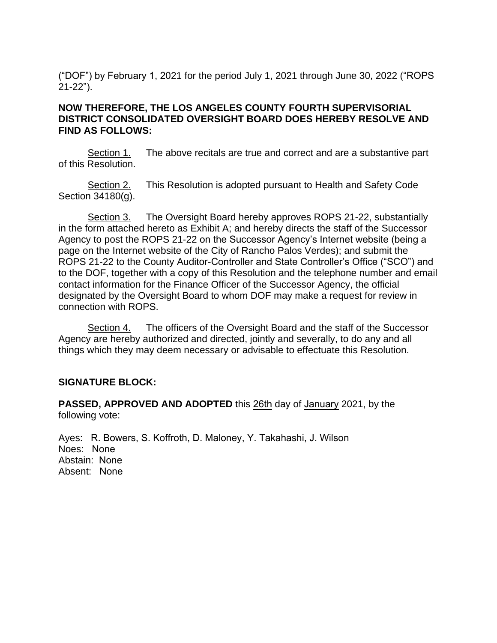("DOF") by February 1, 2021 for the period July 1, 2021 through June 30, 2022 ("ROPS 21-22").

#### **NOW THEREFORE, THE LOS ANGELES COUNTY FOURTH SUPERVISORIAL DISTRICT CONSOLIDATED OVERSIGHT BOARD DOES HEREBY RESOLVE AND FIND AS FOLLOWS:**

Section 1. The above recitals are true and correct and are a substantive part of this Resolution.

Section 2. This Resolution is adopted pursuant to Health and Safety Code Section 34180(g).

Section 3. The Oversight Board hereby approves ROPS 21-22, substantially in the form attached hereto as Exhibit A; and hereby directs the staff of the Successor Agency to post the ROPS 21-22 on the Successor Agency's Internet website (being a page on the Internet website of the City of Rancho Palos Verdes); and submit the ROPS 21-22 to the County Auditor-Controller and State Controller's Office ("SCO") and to the DOF, together with a copy of this Resolution and the telephone number and email contact information for the Finance Officer of the Successor Agency, the official designated by the Oversight Board to whom DOF may make a request for review in connection with ROPS.

Section 4. The officers of the Oversight Board and the staff of the Successor Agency are hereby authorized and directed, jointly and severally, to do any and all things which they may deem necessary or advisable to effectuate this Resolution.

#### **SIGNATURE BLOCK:**

**PASSED, APPROVED AND ADOPTED** this 26th day of January 2021, by the following vote:

Ayes: R. Bowers, S. Koffroth, D. Maloney, Y. Takahashi, J. Wilson Noes: None Abstain: None Absent: None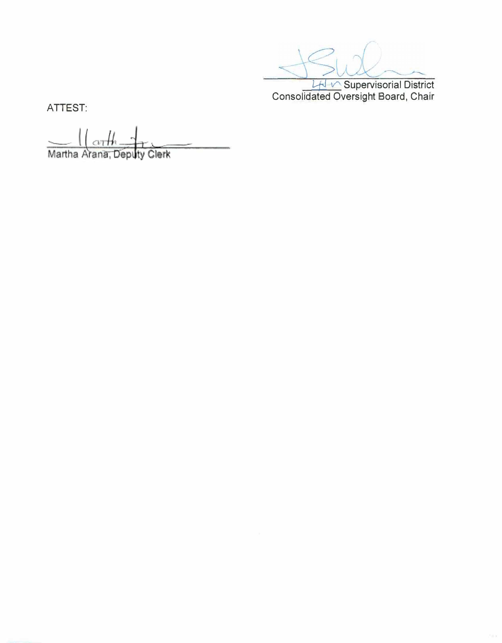LH V Supervisorial District Consolidated Oversight Board, Chair

ATTEST:

Martha Arana, Deputy Clerk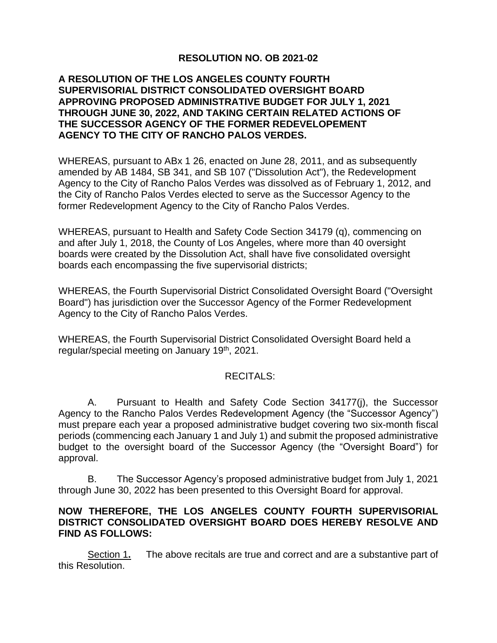# **RESOLUTION NO. OB 2021-02**

#### **A RESOLUTION OF THE LOS ANGELES COUNTY FOURTH SUPERVISORIAL DISTRICT CONSOLIDATED OVERSIGHT BOARD APPROVING PROPOSED ADMINISTRATIVE BUDGET FOR JULY 1, 2021 THROUGH JUNE 30, 2022, AND TAKING CERTAIN RELATED ACTIONS OF THE SUCCESSOR AGENCY OF THE FORMER REDEVELOPEMENT AGENCY TO THE CITY OF RANCHO PALOS VERDES.**

WHEREAS, pursuant to ABx 1 26, enacted on June 28, 2011, and as subsequently amended by AB 1484, SB 341, and SB 107 ("Dissolution Act"), the Redevelopment Agency to the City of Rancho Palos Verdes was dissolved as of February 1, 2012, and the City of Rancho Palos Verdes elected to serve as the Successor Agency to the former Redevelopment Agency to the City of Rancho Palos Verdes.

WHEREAS, pursuant to Health and Safety Code Section 34179 (q), commencing on and after July 1, 2018, the County of Los Angeles, where more than 40 oversight boards were created by the Dissolution Act, shall have five consolidated oversight boards each encompassing the five supervisorial districts;

WHEREAS, the Fourth Supervisorial District Consolidated Oversight Board ("Oversight Board") has jurisdiction over the Successor Agency of the Former Redevelopment Agency to the City of Rancho Palos Verdes.

WHEREAS, the Fourth Supervisorial District Consolidated Oversight Board held a regular/special meeting on January 19th, 2021.

#### RECITALS:

A. Pursuant to Health and Safety Code Section 34177(j), the Successor Agency to the Rancho Palos Verdes Redevelopment Agency (the "Successor Agency") must prepare each year a proposed administrative budget covering two six-month fiscal periods (commencing each January 1 and July 1) and submit the proposed administrative budget to the oversight board of the Successor Agency (the "Oversight Board") for approval.

B. The Successor Agency's proposed administrative budget from July 1, 2021 through June 30, 2022 has been presented to this Oversight Board for approval.

#### **NOW THEREFORE, THE LOS ANGELES COUNTY FOURTH SUPERVISORIAL DISTRICT CONSOLIDATED OVERSIGHT BOARD DOES HEREBY RESOLVE AND FIND AS FOLLOWS:**

Section 1**.** The above recitals are true and correct and are a substantive part of this Resolution.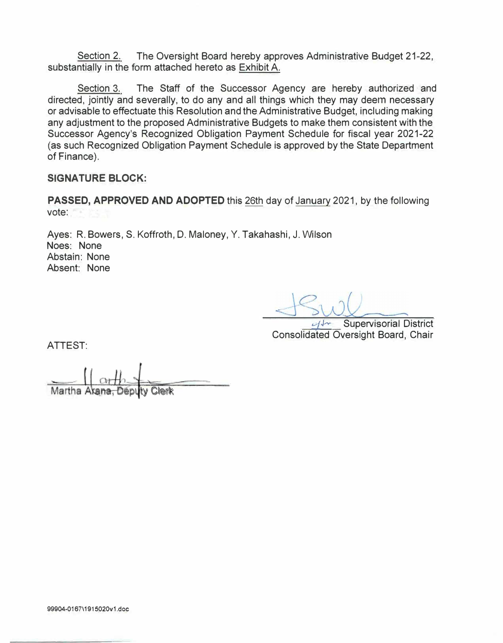Section 2. The Oversight Board hereby approves Administrative Budget 21-22, substantially in the form attached hereto as Exhibit A.

Section 3. The Staff of the Successor Agency are hereby authorized and directed, jointly and severally, to do any and all things which they may deem necessary or advisable to effectuate this Resolution and the Administrative Budget, including making any adjustment to the proposed Administrative Budgets to make them consistent with the Successor Agency's Recognized Obligation Payment Schedule for fiscal year 2021-22 (as such Recognized Obligation Payment Schedule is approved by the State Department of Finance).

#### **SIGNATURE BLOCK:**

**PASSED, APPROVED AND ADOPTED** this 26th day of January 2021, by the following vote:

Ayes: R. Bowers, S. Koffroth, D. Maloney, Y. Takahashi, J. Wilson Noes: None Abstain: None Absent: None

**Supervisorial District** Consolidated Oversight Board, Chair

ATTEST:

Martha Arana, Deputy Clerk